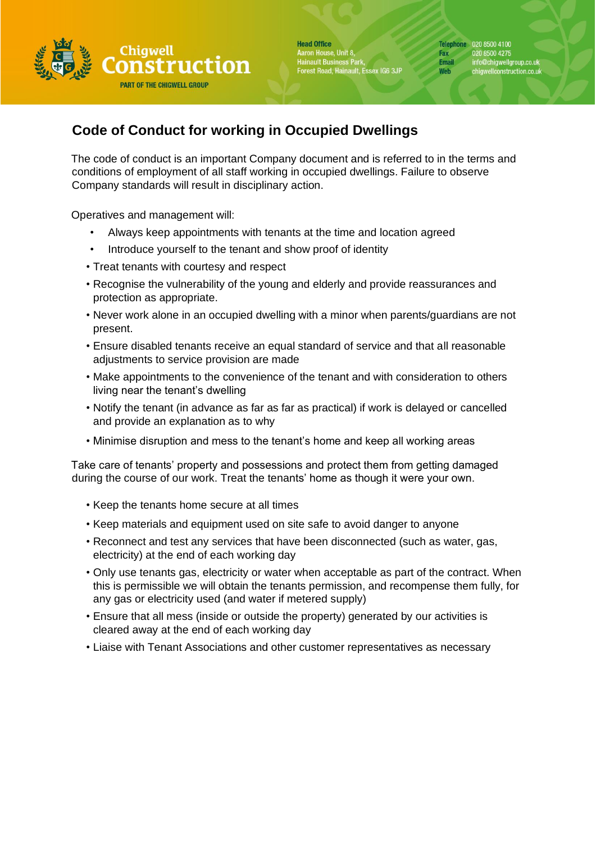

**Head Office** Aaron House, Unit 8,<br>Hainault Business Park,<br>Forest Road, Hainault, Essex IG6 3JP

Telephone 020 8500 4100 Fax 020 8500 4275<br>Email info@chigwellg info@chigwellgroup.co.uk<br>chigwellconstruction.co.uk Web

## **Code of Conduct for working in Occupied Dwellings**

The code of conduct is an important Company document and is referred to in the terms and conditions of employment of all staff working in occupied dwellings. Failure to observe Company standards will result in disciplinary action.

Operatives and management will:

- Always keep appointments with tenants at the time and location agreed
- Introduce yourself to the tenant and show proof of identity
- Treat tenants with courtesy and respect
- Recognise the vulnerability of the young and elderly and provide reassurances and protection as appropriate.
- Never work alone in an occupied dwelling with a minor when parents/guardians are not present.
- Ensure disabled tenants receive an equal standard of service and that all reasonable adjustments to service provision are made
- Make appointments to the convenience of the tenant and with consideration to others living near the tenant's dwelling
- Notify the tenant (in advance as far as far as practical) if work is delayed or cancelled and provide an explanation as to why
- Minimise disruption and mess to the tenant's home and keep all working areas

Take care of tenants' property and possessions and protect them from getting damaged during the course of our work. Treat the tenants' home as though it were your own.

- Keep the tenants home secure at all times
- Keep materials and equipment used on site safe to avoid danger to anyone
- Reconnect and test any services that have been disconnected (such as water, gas, electricity) at the end of each working day
- Only use tenants gas, electricity or water when acceptable as part of the contract. When this is permissible we will obtain the tenants permission, and recompense them fully, for any gas or electricity used (and water if metered supply)
- Ensure that all mess (inside or outside the property) generated by our activities is cleared away at the end of each working day
- Liaise with Tenant Associations and other customer representatives as necessary